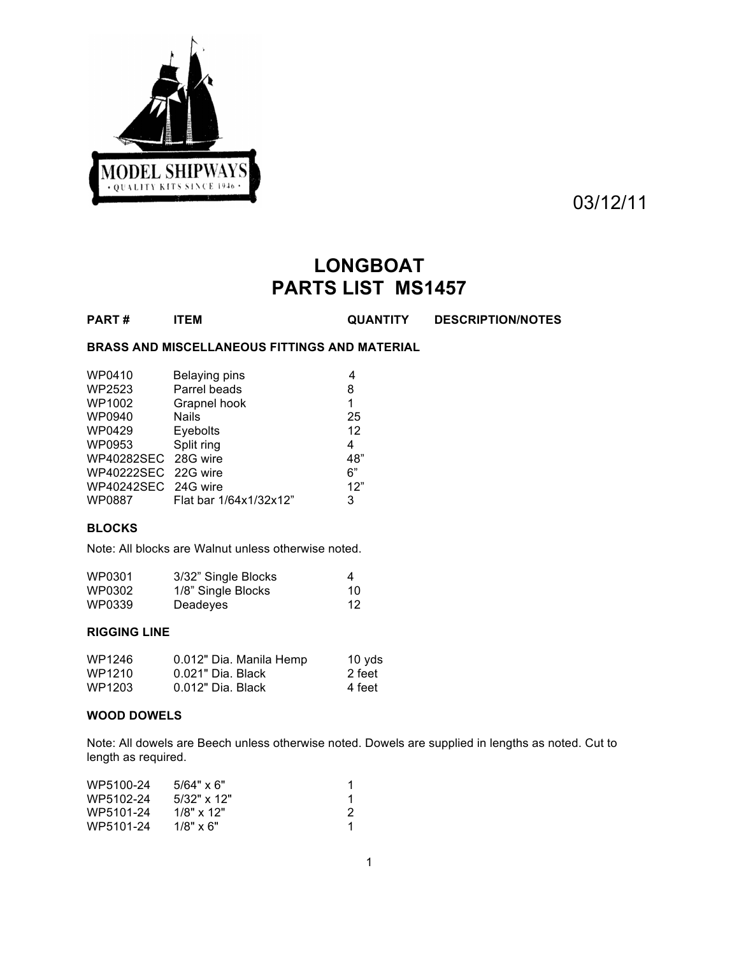

03/12/11

# **LONGBOAT PARTS LIST MS1457**

**PART # ITEM QUANTITY DESCRIPTION/NOTES**

# **BRASS AND MISCELLANEOUS FITTINGS AND MATERIAL**

| WP0410              | Belaying pins          |     |
|---------------------|------------------------|-----|
| WP2523              | Parrel beads           | 8   |
| WP1002              | Grapnel hook           | 1   |
| WP0940              | <b>Nails</b>           | 25  |
| WP0429              | Eyebolts               | 12  |
| WP0953              | Split ring             | 4   |
| WP40282SEC 28G wire |                        | 48" |
| WP40222SEC 22G wire |                        | 6"  |
| WP40242SEC 24G wire |                        | 12" |
| WP0887              | Flat bar 1/64x1/32x12" | 3   |

## **BLOCKS**

Note: All blocks are Walnut unless otherwise noted.

| WP0301 | 3/32" Single Blocks | 4  |
|--------|---------------------|----|
| WP0302 | 1/8" Single Blocks  | 10 |
| WP0339 | Deadeyes            | 12 |

# **RIGGING LINE**

| WP1246 | 0.012" Dia. Manila Hemp | 10 yds |
|--------|-------------------------|--------|
| WP1210 | 0.021" Dia. Black       | 2 feet |
| WP1203 | $0.012"$ Dia. Black     | 4 feet |

#### **WOOD DOWELS**

Note: All dowels are Beech unless otherwise noted. Dowels are supplied in lengths as noted. Cut to length as required.

| WP5100-24 | $5/64" \times 6"$ | 1 |
|-----------|-------------------|---|
| WP5102-24 | $5/32$ " x 12"    |   |
| WP5101-24 | $1/8"$ x 12"      | 2 |
| WP5101-24 | $1/8" \times 6"$  |   |